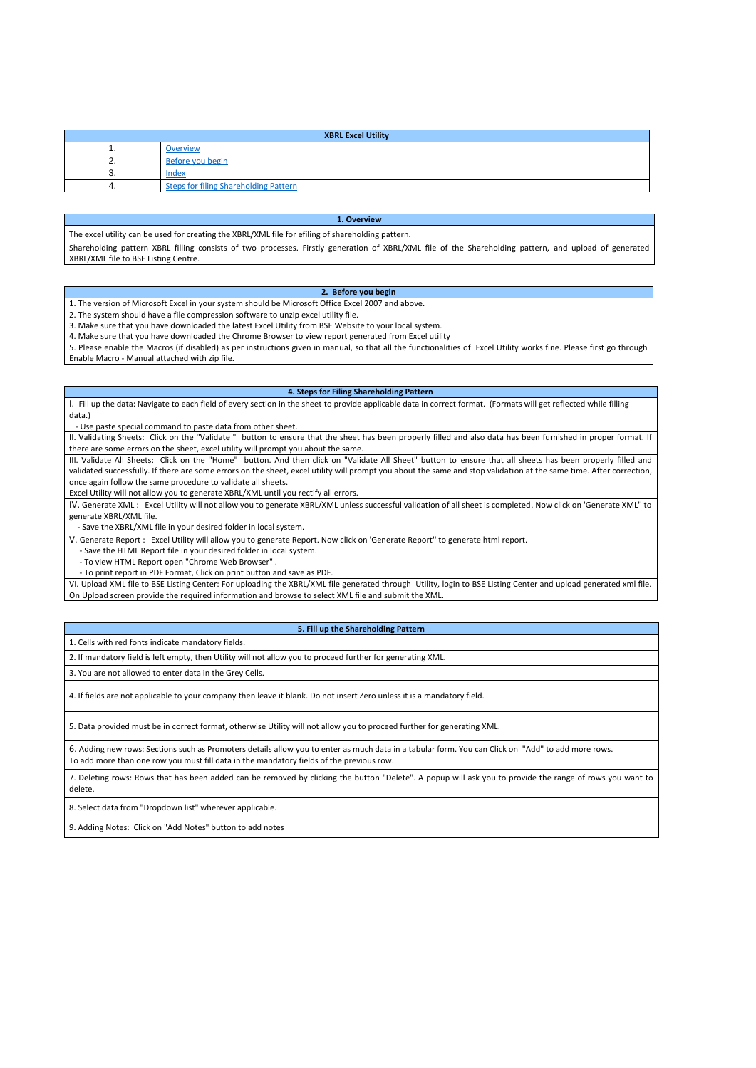| <b>XBRL Excel Utility</b> |                                              |  |  |  |  |  |  |  |  |  |  |  |
|---------------------------|----------------------------------------------|--|--|--|--|--|--|--|--|--|--|--|
|                           | <b>Overview</b>                              |  |  |  |  |  |  |  |  |  |  |  |
|                           | Before you begin                             |  |  |  |  |  |  |  |  |  |  |  |
| J.                        | Index                                        |  |  |  |  |  |  |  |  |  |  |  |
|                           | <b>Steps for filing Shareholding Pattern</b> |  |  |  |  |  |  |  |  |  |  |  |

# **1. Overview**

The excel utility can be used for creating the XBRL/XML file for efiling of shareholding pattern.

Shareholding pattern XBRL filling consists of two processes. Firstly generation of XBRL/XML file of the Shareholding pattern, and upload of generated XBRL/XML file to BSE Listing Centre.

#### **2. Before you begin**

1. The version of Microsoft Excel in your system should be Microsoft Office Excel 2007 and above.

2. The system should have a file compression software to unzip excel utility file.

3. Make sure that you have downloaded the latest Excel Utility from BSE Website to your local system.

4. Make sure that you have downloaded the Chrome Browser to view report generated from Excel utility

5. Please enable the Macros (if disabled) as per instructions given in manual, so that all the functionalities of Excel Utility works fine. Please first go through Enable Macro - Manual attached with zip file.

III. Validate All Sheets: Click on the "Home" button. And then click on "Validate All Sheet" button to ensure that all sheets has been properly filled and validated successfully. If there are some errors on the sheet, excel utility will prompt you about the same and stop validation at the same time. After correction, once again follow the same procedure to validate all sheets.

# **4. Steps for Filing Shareholding Pattern**

I. Fill up the data: Navigate to each field of every section in the sheet to provide applicable data in correct format. (Formats will get reflected while filling data.)

- Use paste special command to paste data from other sheet.

II. Validating Sheets: Click on the ''Validate " button to ensure that the sheet has been properly filled and also data has been furnished in proper format. If there are some errors on the sheet, excel utility will prompt you about the same.

Excel Utility will not allow you to generate XBRL/XML until you rectify all errors.

IV. Generate XML : Excel Utility will not allow you to generate XBRL/XML unless successful validation of all sheet is completed. Now click on 'Generate XML'' to generate XBRL/XML file.

- Save the XBRL/XML file in your desired folder in local system.

V. Generate Report : Excel Utility will allow you to generate Report. Now click on 'Generate Report'' to generate html report.

- Save the HTML Report file in your desired folder in local system.

- To view HTML Report open "Chrome Web Browser" .

- To print report in PDF Format, Click on print button and save as PDF.

VI. Upload XML file to BSE Listing Center: For uploading the XBRL/XML file generated through Utility, login to BSE Listing Center and upload generated xml file. On Upload screen provide the required information and browse to select XML file and submit the XML.

## **5. Fill up the Shareholding Pattern**

1. Cells with red fonts indicate mandatory fields.

2. If mandatory field is left empty, then Utility will not allow you to proceed further for generating XML.

3. You are not allowed to enter data in the Grey Cells.

4. If fields are not applicable to your company then leave it blank. Do not insert Zero unless it is a mandatory field.

5. Data provided must be in correct format, otherwise Utility will not allow you to proceed further for generating XML.

6. Adding new rows: Sections such as Promoters details allow you to enter as much data in a tabular form. You can Click on "Add" to add more rows. To add more than one row you must fill data in the mandatory fields of the previous row.

7. Deleting rows: Rows that has been added can be removed by clicking the button "Delete". A popup will ask you to provide the range of rows you want to delete.

8. Select data from "Dropdown list" wherever applicable.

9. Adding Notes: Click on "Add Notes" button to add notes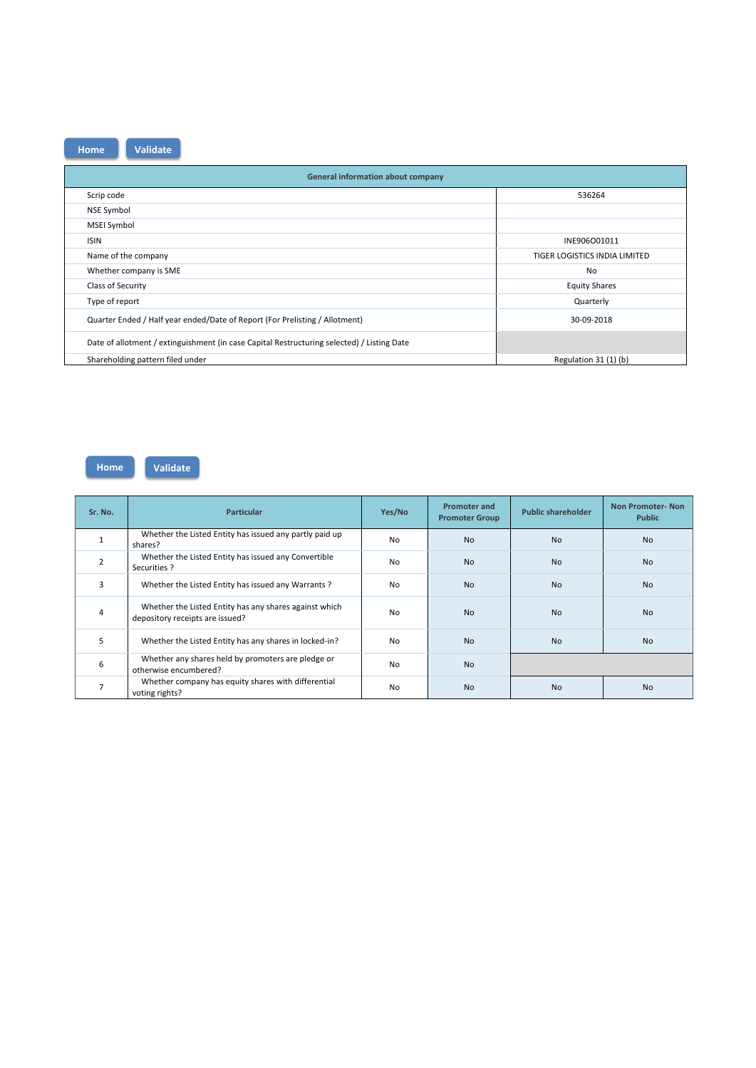| <b>General information about company</b>                                                   |                               |  |  |  |  |  |  |  |  |  |  |  |
|--------------------------------------------------------------------------------------------|-------------------------------|--|--|--|--|--|--|--|--|--|--|--|
| Scrip code                                                                                 | 536264                        |  |  |  |  |  |  |  |  |  |  |  |
| <b>NSE Symbol</b>                                                                          |                               |  |  |  |  |  |  |  |  |  |  |  |
| <b>MSEI Symbol</b>                                                                         |                               |  |  |  |  |  |  |  |  |  |  |  |
| <b>ISIN</b>                                                                                | INE906O01011                  |  |  |  |  |  |  |  |  |  |  |  |
| Name of the company                                                                        | TIGER LOGISTICS INDIA LIMITED |  |  |  |  |  |  |  |  |  |  |  |
| Whether company is SME                                                                     | N <sub>o</sub>                |  |  |  |  |  |  |  |  |  |  |  |
| Class of Security                                                                          | <b>Equity Shares</b>          |  |  |  |  |  |  |  |  |  |  |  |
| Type of report                                                                             | Quarterly                     |  |  |  |  |  |  |  |  |  |  |  |
| Quarter Ended / Half year ended/Date of Report (For Prelisting / Allotment)                | 30-09-2018                    |  |  |  |  |  |  |  |  |  |  |  |
| Date of allotment / extinguishment (in case Capital Restructuring selected) / Listing Date |                               |  |  |  |  |  |  |  |  |  |  |  |
| Shareholding pattern filed under                                                           | Regulation 31 (1) (b)         |  |  |  |  |  |  |  |  |  |  |  |

| Sr. No.        | <b>Particular</b>                                                                         | Yes/No         | <b>Promoter and</b><br><b>Promoter Group</b> | <b>Public shareholder</b> | <b>Non Promoter-Non</b><br><b>Public</b> |
|----------------|-------------------------------------------------------------------------------------------|----------------|----------------------------------------------|---------------------------|------------------------------------------|
|                | Whether the Listed Entity has issued any partly paid up<br>shares?                        | N <sub>0</sub> | <b>No</b>                                    | <b>No</b>                 | <b>No</b>                                |
| $\overline{2}$ | Whether the Listed Entity has issued any Convertible<br>Securities ?                      | <b>No</b>      | <b>No</b>                                    | <b>No</b>                 | <b>No</b>                                |
| 3              | Whether the Listed Entity has issued any Warrants?                                        | <b>No</b>      | <b>No</b>                                    | <b>No</b>                 | <b>No</b>                                |
| 4              | Whether the Listed Entity has any shares against which<br>depository receipts are issued? | <b>No</b>      | <b>No</b>                                    | <b>No</b>                 | <b>No</b>                                |
| 5              | Whether the Listed Entity has any shares in locked-in?                                    | <b>No</b>      | <b>No</b>                                    | <b>No</b>                 | <b>No</b>                                |
| 6              | Whether any shares held by promoters are pledge or<br>otherwise encumbered?               | <b>No</b>      | <b>No</b>                                    |                           |                                          |
| 7              | Whether company has equity shares with differential<br>voting rights?                     | No             | <b>No</b>                                    | <b>No</b>                 | <b>No</b>                                |

# **Home Validate**

**Home Validate**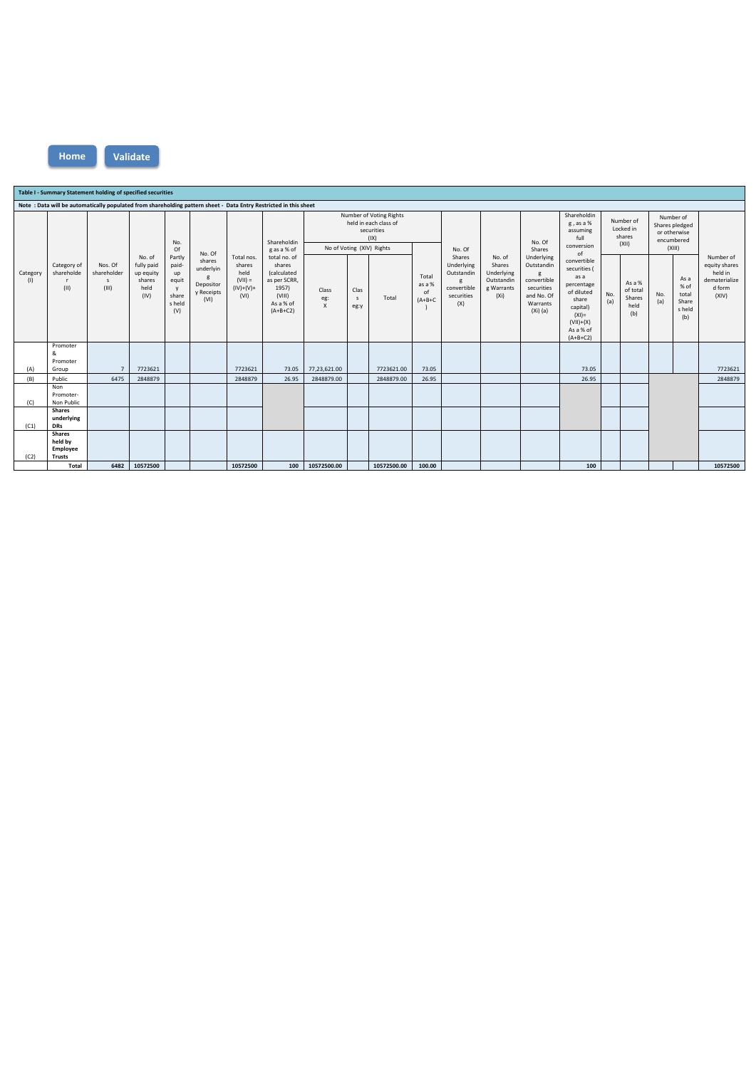|                                                                                                                  | Table I - Summary Statement holding of specified securities |                                                 |                                                             |                                                               |                                                                       |                                                                  |                                                                                                     |                              |                              |                                                                                                     |                                    |                                                                             |                                                                                 |                                                                                                                        |                                                                                                                                            |                                           |                                             |                                                                     |                                                 |                                                                           |
|------------------------------------------------------------------------------------------------------------------|-------------------------------------------------------------|-------------------------------------------------|-------------------------------------------------------------|---------------------------------------------------------------|-----------------------------------------------------------------------|------------------------------------------------------------------|-----------------------------------------------------------------------------------------------------|------------------------------|------------------------------|-----------------------------------------------------------------------------------------------------|------------------------------------|-----------------------------------------------------------------------------|---------------------------------------------------------------------------------|------------------------------------------------------------------------------------------------------------------------|--------------------------------------------------------------------------------------------------------------------------------------------|-------------------------------------------|---------------------------------------------|---------------------------------------------------------------------|-------------------------------------------------|---------------------------------------------------------------------------|
| Note: Data will be automatically populated from shareholding pattern sheet - Data Entry Restricted in this sheet |                                                             |                                                 |                                                             |                                                               |                                                                       |                                                                  |                                                                                                     |                              |                              |                                                                                                     |                                    |                                                                             |                                                                                 |                                                                                                                        |                                                                                                                                            |                                           |                                             |                                                                     |                                                 |                                                                           |
| Category<br>(1)                                                                                                  |                                                             | Nos. Of<br>shareholder<br>$\mathsf{s}$<br>(III) |                                                             | No.<br>Of                                                     |                                                                       |                                                                  | Shareholdin<br>g as a % of                                                                          |                              |                              | Number of Voting Rights<br>held in each class of<br>securities<br>(IX)<br>No of Voting (XIV) Rights |                                    | No. Of                                                                      | No. of<br>Shares<br>Underlying<br>Outstandin<br>g Warrants<br>(X <sub>i</sub> ) | No. Of<br>Shares<br>Underlying<br>Outstandin<br>g<br>convertible<br>securities<br>and No. Of<br>Warrants<br>$(Xi)$ (a) | Shareholdin<br>g, as a %<br>assuming<br>full<br>conversion<br>of                                                                           | Number of<br>Locked in<br>shares<br>(XII) |                                             | Number of<br>Shares pledged<br>or otherwise<br>encumbered<br>(XIII) |                                                 |                                                                           |
|                                                                                                                  | Category of<br>shareholde<br>(11)                           |                                                 | No. of<br>fully paid<br>up equity<br>shares<br>held<br>(IV) | Partly<br>paid-<br>up<br>equit<br>y<br>share<br>s held<br>(V) | No. Of<br>shares<br>underlyin<br>g<br>Depositor<br>y Receipts<br>(VI) | Total nos.<br>shares<br>held<br>$(VII) =$<br>$(IV)+(V)+$<br>(VI) | total no. of<br>shares<br>(calculated<br>as per SCRR,<br>1957)<br>(VIII)<br>As a % of<br>$(A+B+C2)$ | Class<br>eg:<br>$\mathsf{X}$ | Clas<br>$\mathsf{s}$<br>eg:y | Total                                                                                               | Total<br>as a %<br>of<br>$(A+B+C)$ | Shares<br>Underlying<br>Outstandin<br>g<br>convertible<br>securities<br>(X) |                                                                                 |                                                                                                                        | convertible<br>securities (<br>as a<br>percentage<br>of diluted<br>share<br>capital)<br>$(XI) =$<br>$(VII)+(X)$<br>As a % of<br>$(A+B+C2)$ | No.<br>(a)                                | As a %<br>of total<br>Shares<br>held<br>(b) | No.<br>(a)                                                          | As a<br>% of<br>total<br>Share<br>s held<br>(b) | Number of<br>equity shares<br>held in<br>dematerialize<br>d form<br>(XIV) |
| (A)                                                                                                              | Promoter<br>&<br>Promoter<br>Group                          | $\overline{7}$                                  | 7723621                                                     |                                                               |                                                                       | 7723621                                                          | 73.05                                                                                               | 77,23,621.00                 |                              | 7723621.00                                                                                          | 73.05                              |                                                                             |                                                                                 |                                                                                                                        | 73.05                                                                                                                                      |                                           |                                             |                                                                     |                                                 | 7723621                                                                   |
| (B)                                                                                                              | Public                                                      | 6475                                            | 2848879                                                     |                                                               |                                                                       | 2848879                                                          | 26.95                                                                                               | 2848879.00                   |                              | 2848879.00                                                                                          | 26.95                              |                                                                             |                                                                                 |                                                                                                                        | 26.95                                                                                                                                      |                                           |                                             |                                                                     |                                                 | 2848879                                                                   |
| (C)                                                                                                              | Non<br>Promoter-<br>Non Public                              |                                                 |                                                             |                                                               |                                                                       |                                                                  |                                                                                                     |                              |                              |                                                                                                     |                                    |                                                                             |                                                                                 |                                                                                                                        |                                                                                                                                            |                                           |                                             |                                                                     |                                                 |                                                                           |
| (C1)                                                                                                             | <b>Shares</b><br>underlying<br><b>DRs</b>                   |                                                 |                                                             |                                                               |                                                                       |                                                                  |                                                                                                     |                              |                              |                                                                                                     |                                    |                                                                             |                                                                                 |                                                                                                                        |                                                                                                                                            |                                           |                                             |                                                                     |                                                 |                                                                           |
| (C2)                                                                                                             | <b>Shares</b><br>held by<br>Employee<br><b>Trusts</b>       |                                                 |                                                             |                                                               |                                                                       |                                                                  |                                                                                                     |                              |                              |                                                                                                     |                                    |                                                                             |                                                                                 |                                                                                                                        |                                                                                                                                            |                                           |                                             |                                                                     |                                                 |                                                                           |
|                                                                                                                  | Total                                                       | 6482                                            | 10572500                                                    |                                                               |                                                                       | 10572500                                                         | 100                                                                                                 | 10572500.00                  |                              | 10572500.00                                                                                         | 100.00                             |                                                                             |                                                                                 |                                                                                                                        | 100                                                                                                                                        |                                           |                                             |                                                                     |                                                 | 10572500                                                                  |

**Home Validate**